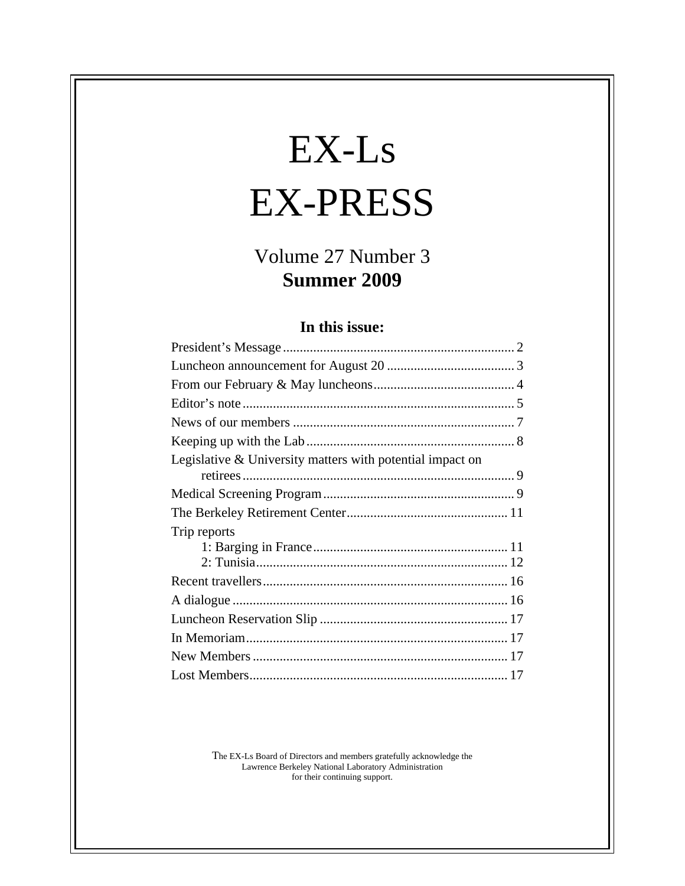# EX-Ls EX-PRESS

# Volume 27 Number 3<br>Summer 2009 **Summer 2009**

#### **In this issue:**

| Legislative & University matters with potential impact on |
|-----------------------------------------------------------|
|                                                           |
|                                                           |
| Trip reports                                              |
|                                                           |
|                                                           |
|                                                           |
|                                                           |
|                                                           |
|                                                           |
|                                                           |

The EX-Ls Board of Directors and members gratefully acknowledge the Lawrence Berkeley National Laboratory Administration for their continuing support.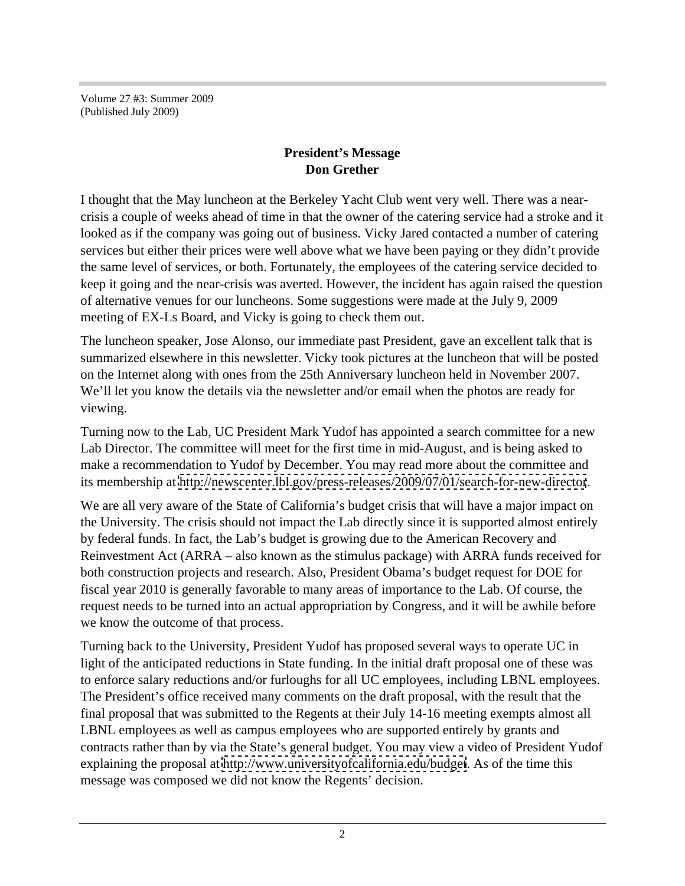Volume 27 #3: Summer 2009 (Published July 2009)

#### **President's Message Don Grether**

I thought that the May luncheon at the Berkeley Yacht Club went very well. There was a near crisis a couple of weeks ahead of time in that the owner of the catering service had a stroke and it looked as if the company was going out of business. Vicky Jared contacted a number of catering services but either their prices were well above what we have been paying or they didn't provide the same level of services, or both. Fortunately, the employees of the catering service decided to keep it going and the near-crisis was averted. However, the incident has again raised the question of alternative venues for our luncheons. Some suggestions were made at the July 9, 2009 meeting of EX-Ls Board, and Vicky is going to check them out.

The luncheon speaker, Jose Alonso, our immediate past President, gave an excellent talk that is summarized elsewhere in this newsletter. Vicky took pictures at the luncheon that will be posted on the Internet along with ones from the 25th Anniversary luncheon held in November 2007. We'll let you know the details via the newsletter and/or email when the photos are ready for viewing. The contract of the contract of the contract of the contract of the contract of the contract of the contract of the contract of the contract of the contract of the contract of the contract of the contract of the c

Turning now to the Lab, UC President Mark Yudof has appointed a search committee for a new Lab Director. The committee will meet for the first time in mid-August, and is being asked to make a recommendation to Yudof by December. You may read more about the committee and its membership at<http://newscenter.lbl.gov/press-releases/2009/07/01/search-for-new-director>.

We are all very aware of the State of California's budget crisis that will have a major impact on the University. The crisis should not impact the Lab directly since it is supported almost entirely by federal funds. In fact, the Lab's budget is growing due to the American Recovery and Reinvestment Act (ARRA – also known as the stimulus package) with ARRA funds received for both construction projects and research. Also, President Obama's budget request for DOE for fiscal year 2010 is generally favorable to many areas of importance to the Lab. Of course, the request needs to be turned into an actual appropriation by Congress, and it will be awhile before we know the outcome of that process.

Turning back to the University, President Yudof has proposed several ways to operate UC in light of the anticipated reductions in State funding. In the initial draft proposal one of these was to enforce salary reductions and/or furloughs for all UC employees, including LBNL employees. The President's office received many comments on the draft proposal, with the result that the final proposal that was submitted to the Regents at their July 14-16 meeting exempts almost all LBNL employees as well as campus employees who are supported entirely by grants and contracts rather than by via the State's general budget. You may view a video of President Yudof explaining the proposal at<http://www.universityofcalifornia.edu/budget>. As of the time this message was composed we did not know the Regents' decision.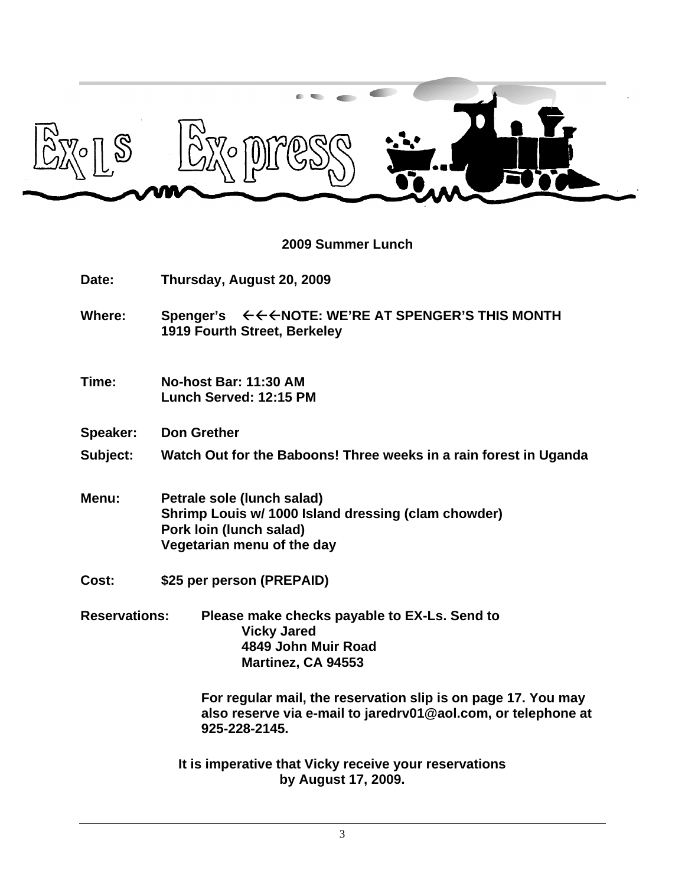

#### **2009 Summer Lunch**

- **Date: Thursday, August 20, 2009**
- Where: Spenger's  $\leftarrow \leftarrow \leftarrow \text{NOTE}$ : WE'RE AT SPENGER'S THIS MONTH **1919 Fourth Street, Berkeley**
- **Time: No-host Bar: 11:30 AM Lunch Served: 12:15 PM**
- **Speaker: Don Grether**

**Subject: Watch Out for the Baboons! Three weeks in a rain forest in Uganda**

- **Menu: Petrale sole (lunch salad) Shrimp Louis w/ 1000 Island dressing (clam chowder) Pork loin (lunch salad) Vegetarian menu of the day**
- **Cost: \$25 per person (PREPAID)**
- **Reservations: Please make checks payable to EX-Ls. Send to Vicky Jared 4849 John Muir Road Martinez, CA 94553**

**For regular mail, the reservation slip is on page 17. You may also reserve via e-mail to jaredrv01@aol.com, or telephone at 925-228-2145.**

**It is imperative that Vicky receive your reservations by August 17, 2009.**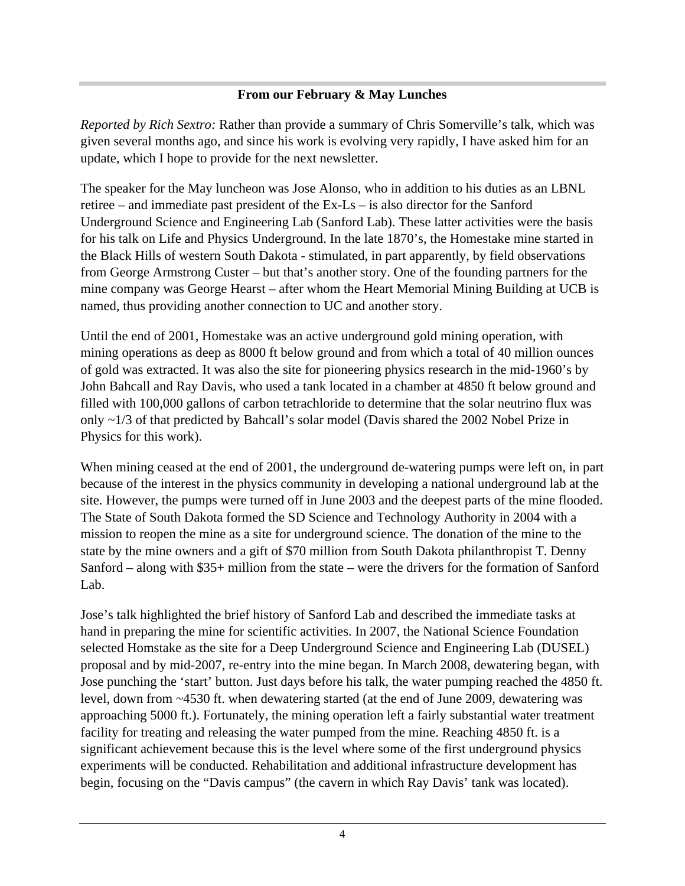#### **From our February & May Lunches**

*Reported by Rich Sextro:* Rather than provide a summary of Chris Somerville's talk, which was given several months ago, and since his work is evolving very rapidly, I have asked him for an update, which I hope to provide for the next newsletter.

The speaker for the May luncheon was Jose Alonso, who in addition to his duties as an LBNL retiree – and immediate past president of the Ex-Ls – is also director for the Sanford Underground Science and Engineering Lab (Sanford Lab). These latter activities were the basis for his talk on Life and Physics Underground. In the late 1870's, the Homestake mine started in the Black Hills of western South Dakota - stimulated, in part apparently, by field observations from George Armstrong Custer – but that's another story. One of the founding partners for the mine company was George Hearst – after whom the Heart Memorial Mining Building at UCB is named, thus providing another connection to UC and another story.

Until the end of 2001, Homestake was an active underground gold mining operation, with mining operations as deep as 8000 ft below ground and from which a total of 40 million ounces of gold was extracted. It was also the site for pioneering physics research in the mid-1960's by John Bahcall and Ray Davis, who used a tank located in a chamber at 4850 ft below ground and filled with 100,000 gallons of carbon tetrachloride to determine that the solar neutrino flux was only ~1/3 of that predicted by Bahcall's solar model (Davis shared the 2002 Nobel Prize in Physics for this work).

When mining ceased at the end of 2001, the underground de-watering pumps were left on, in part because of the interest in the physics community in developing a national underground lab at the site. However, the pumps were turned off in June 2003 and the deepest parts of the mine flooded. The State of South Dakota formed the SD Science and Technology Authority in 2004 with a mission to reopen the mine as a site for underground science. The donation of the mine to the state by the mine owners and a gift of \$70 million from South Dakota philanthropist T. Denny Sanford – along with \$35+ million from the state – were the drivers for the formation of Sanford Lab.

Jose's talk highlighted the brief history of Sanford Lab and described the immediate tasks at hand in preparing the mine for scientific activities. In 2007, the National Science Foundation selected Homstake as the site for a Deep Underground Science and Engineering Lab (DUSEL) proposal and by mid-2007, re-entry into the mine began. In March 2008, dewatering began, with Jose punching the 'start' button. Just days before his talk, the water pumping reached the 4850 ft. level, down from ~4530 ft. when dewatering started (at the end of June 2009, dewatering was approaching 5000 ft.). Fortunately, the mining operation left a fairly substantial water treatment facility for treating and releasing the water pumped from the mine. Reaching 4850 ft. is a significant achievement because this is the level where some of the first underground physics experiments will be conducted. Rehabilitation and additional infrastructure development has begin, focusing on the "Davis campus" (the cavern in which Ray Davis' tank was located).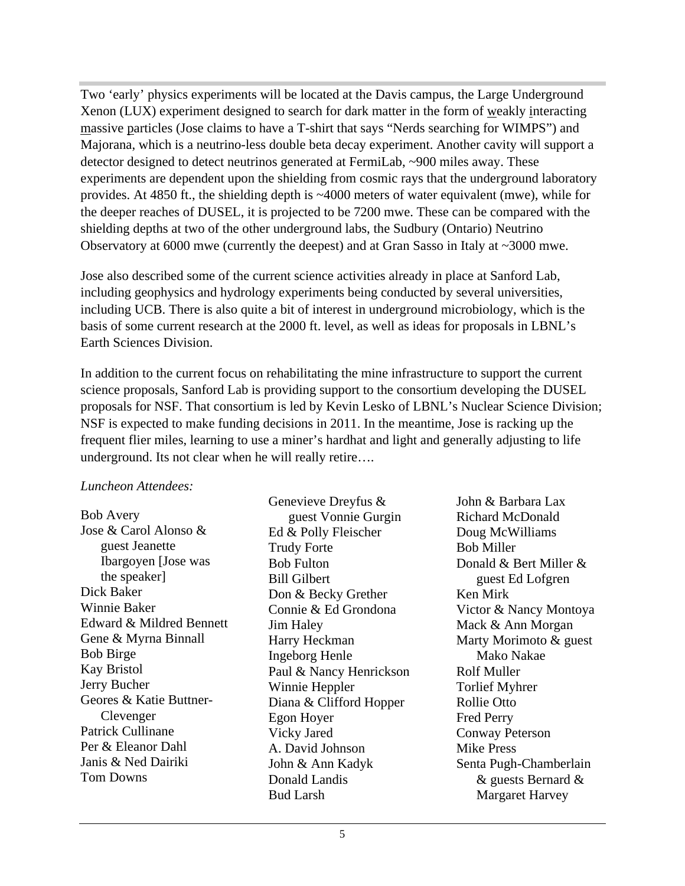Two 'early' physics experiments will be located at the Davis campus, the Large Underground Xenon (LUX) experiment designed to search for dark matter in the form of weakly interacting massive particles (Jose claims to have a T-shirt that says "Nerds searching for WIMPS") and Majorana, which is a neutrino-less double beta decay experiment. Another cavity will support a detector designed to detect neutrinos generated at FermiLab, ~900 miles away. These experiments are dependent upon the shielding from cosmic rays that the underground laboratory provides. At 4850 ft., the shielding depth is ~4000 meters of water equivalent (mwe), while for the deeper reaches of DUSEL, it is projected to be 7200 mwe. These can be compared with the shielding depths at two of the other underground labs, the Sudbury (Ontario) Neutrino Observatory at 6000 mwe (currently the deepest) and at Gran Sasso in Italy at ~3000 mwe.

Jose also described some of the current science activities already in place at Sanford Lab, including geophysics and hydrology experiments being conducted by several universities, including UCB. There is also quite a bit of interest in underground microbiology, which is the basis of some current research at the 2000 ft. level, as well as ideas for proposals in LBNL's Earth Sciences Division.

In addition to the current focus on rehabilitating the mine infrastructure to support the current science proposals, Sanford Lab is providing support to the consortium developing the DUSEL proposals for NSF. That consortium is led by Kevin Lesko of LBNL's Nuclear Science Division; NSF is expected to make funding decisions in 2011. In the meantime, Jose is racking up the frequent flier miles, learning to use a miner's hardhat and light and generally adjusting to life underground. Its not clear when he will really retire….

#### *Luncheon Attendees:*

Bob Avery **Example 2018** guest Vonnie Gurgin Richard McDonald Jose & Carol Alonso & Ed & Polly Fleischer Doug McWilliams Dick Baker Don & Becky Grether Winnie Baker Connie & Ed Grondona Victor & Nancy Montoya Edward & Mildred Bennett Jim Haley Mack & Ann Morgan Gene & Myrna Binnall **Marty Heckman** Marty Morimoto & guest Bob Birge Mako Nakae Ingeborg Henle Mako Nakae Kay Bristol Paul & Nancy Henrickson Rolf Muller Jerry Bucher Geores & Katie Buttner-<br>
Diana & Clifford Hopper Rollie Otto Patrick Cullinane **Solution** Vicky Jared **Converse Convey Peters** Convex Peters Convex Peters Convex Peters Convex Peters Convex Peters Convex Peters Convex Peters Convex Peters Convex Peters Convex Peters Convex Peters Co Per & Eleanor Dahl <br>
Janis & Ned Dairiki<br>
Iohn & Ann Kadyk<br>
Senta Pugh. Janis & Ned Dairiki Senta Pugh-Chamberlain Tom Downs & guests Bernard &

guest Jeanette Trudy Forte Bob Miller Ibargoyen [Jose was Donald & Bert Miller & the speaker] Bill Gilbert Clevenger Egon Hoyer Fred Perry Genevieve Dreyfus & John & Barbara Lax Ed & Polly Fleischer Trudy Forte Bob Miller Bob Fulton **Bob Fulton** Donald & Bert Miller & Jim Haley Harry Heckman **Marty Morimoto & guest** Ingeborg Henle Paul & Nancy Henrickson Rolf Muller Winnie Heppler **Torlief Myhrer** Egon Hoyer Fred Perry Vicky Jared Conway Peterson A. David Johnson John & Ann Kadyk Donald Landis and  $\&$  guests Bernard  $\&$ Bud Larsh **Example 2018** Margaret Harvey

guest Vonnie Gurgin John & Barbara Lax Richard McDonald Doug McWilliams Bob Miller guest Ed Lofgren Ken Mirk Mack & Ann Morgan Mako Nakae Rolf Muller Torlief Myhrer Rollie Otto Fred Perry Mike Press Margaret Harvey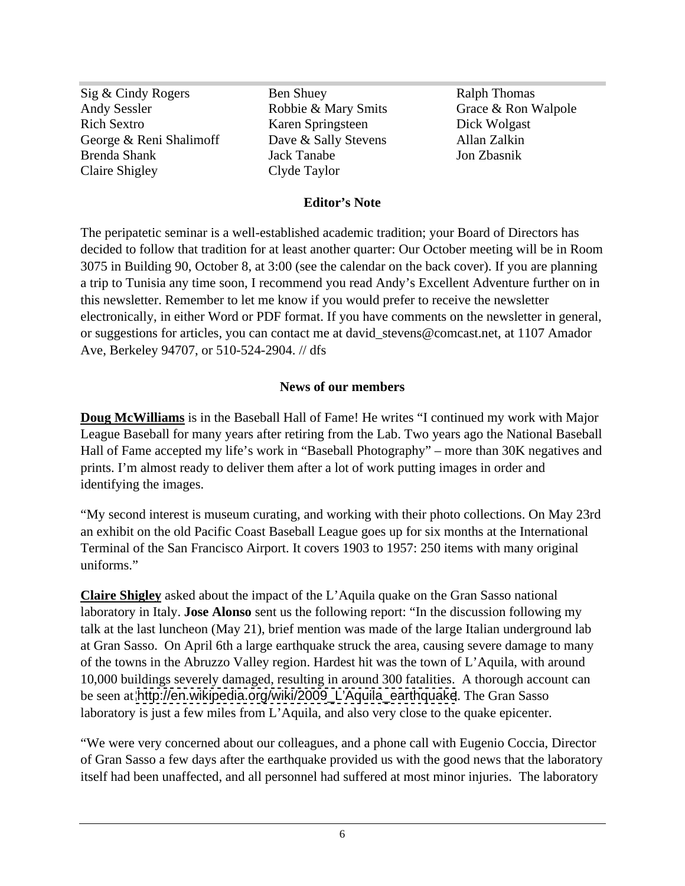Sig & Cindy Rogers Ben Shuey Ben Ralph Thomas Andy Sessler Robbie & Mary Smits Rich Sextro **Example 3 Sextro Example 3 Sextro Example 3 Sextro Example 3 Sextro Example 3 Sextro Example 3 Sextro Example 4 Sextro Example 4 Sextro Example 4 Sextro Example 4 Sextro Example 4 Sextro Example 4 Sextro Examp** George & Reni Shalimoff Dave & Sally Stevens Allan Zalkin Brenda Shank

Claire Shigley Clyde Taylor Ben Shuey **Example 18 Ralph Thomas** Ralph Thomas Karen Springsteen Dick Wolgast Dave & Sally Stevens Jack Tanabe Clyde Taylor

Ralph Thomas Grace & Ron Walpole Dick Wolgast Allan Zalkin Jon Zbasnik

#### **Editor's Note**

The peripatetic seminar is a well-established academic tradition; your Board of Directors has decided to follow that tradition for at least another quarter: Our October meeting will be in Room 3075 in Building 90, October 8, at 3:00 (see the calendar on the back cover). If you are planning a trip to Tunisia any time soon, I recommend you read Andy's Excellent Adventure further on in this newsletter. Remember to let me know if you would prefer to receive the newsletter electronically, in either Word or PDF format. If you have comments on the newsletter in general, or suggestions for articles, you can contact me at david\_stevens@comcast.net, at 1107 Amador Ave, Berkeley 94707, or 510-524-2904. // dfs

#### **News of our members**

**Doug McWilliams** is in the Baseball Hall of Fame! He writes "I continued my work with Major League Baseball for many years after retiring from the Lab. Two years ago the National Baseball Hall of Fame accepted my life's work in "Baseball Photography" – more than 30K negatives and prints. I'm almost ready to deliver them after a lot of work putting images in order and identifying the images.

"My second interest is museum curating, and working with their photo collections. On May 23rd an exhibit on the old Pacific Coast Baseball League goes up for six months at the International Terminal of the San Francisco Airport. It covers 1903 to 1957: 250 items with many original uniforms."

**Claire Shigley** asked about the impact of the L'Aquila quake on the Gran Sasso national laboratory in Italy. **Jose Alonso** sent us the following report: "In the discussion following my talk at the last luncheon (May 21), brief mention was made of the large Italian underground lab at Gran Sasso. On April 6th a large earthquake struck the area, causing severe damage to many of the towns in the Abruzzo Valley region. Hardest hit was the town of L'Aquila, with around 10,000 buildings severely damaged, resulting in around 300 fatalities. A thorough account can be seen at [http://en.wikipedia.org/wiki/2009\\_L'Aquila\\_earthquake](http://en.wikipedia.org/wiki/2009_L�Aquila_earthquake). The Gran Sasso laboratory is just a few miles from L'Aquila, and also very close to the quake epicenter.

"We were very concerned about our colleagues, and a phone call with Eugenio Coccia, Director of Gran Sasso a few days after the earthquake provided us with the good news that the laboratory itself had been unaffected, and all personnel had suffered at most minor injuries. The laboratory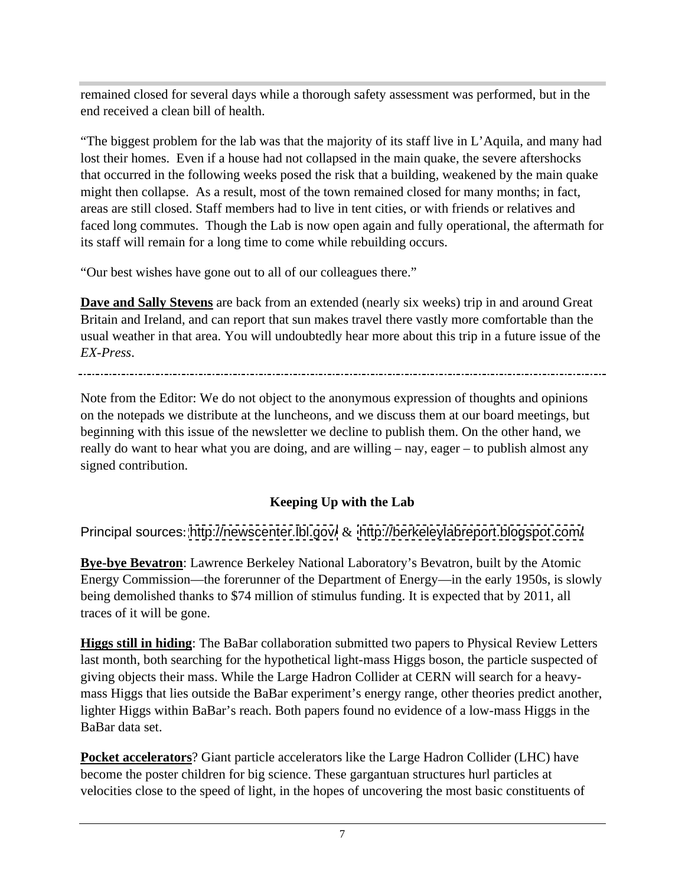remained closed for several days while a thorough safety assessment was performed, but in the end received a clean bill of health.

"The biggest problem for the lab was that the majority of its staff live in L'Aquila, and many had lost their homes. Even if a house had not collapsed in the main quake, the severe aftershocks that occurred in the following weeks posed the risk that a building, weakened by the main quake might then collapse. As a result, most of the town remained closed for many months; in fact, areas are still closed. Staff members had to live in tent cities, or with friends or relatives and faced long commutes. Though the Lab is now open again and fully operational, the aftermath for its staff will remain for a long time to come while rebuilding occurs.

"Our best wishes have gone out to all of our colleagues there."

**Dave and Sally Stevens** are back from an extended (nearly six weeks) trip in and around Great Britain and Ireland, and can report that sun makes travel there vastly more comfortable than the usual weather in that area. You will undoubtedly hear more about this trip in a future issue of the *EX-Press*.

-----------------------

Note from the Editor: We do not object to the anonymous expression of thoughts and opinions on the notepads we distribute at the luncheons, and we discuss them at our board meetings, but beginning with this issue of the newsletter we decline to publish them. On the other hand, we really do want to hear what you are doing, and are willing – nay, eager – to publish almost any signed contribution.

# **Keeping Up with the Lab**

Principal sources: <http://newscenter.lbl.gov/> & <http://berkeleylabreport.blogspot.com/>

**Bye-bye Bevatron**: Lawrence Berkeley National Laboratory's Bevatron, built by the Atomic Energy Commission—the forerunner of the Department of Energy—in the early 1950s, is slowly being demolished thanks to \$74 million of stimulus funding. It is expected that by 2011, all traces of it will be gone.

**Higgs still in hiding**: The BaBar collaboration submitted two papers to Physical Review Letters last month, both searching for the hypothetical light-mass Higgs boson, the particle suspected of giving objects their mass. While the Large Hadron Collider at CERN will search for a heavy mass Higgs that lies outside the BaBar experiment's energy range, other theories predict another, lighter Higgs within BaBar's reach. Both papers found no evidence of a low-mass Higgs in the BaBar data set.

**Pocket accelerators**? Giant particle accelerators like the Large Hadron Collider (LHC) have become the poster children for big science. These gargantuan structures hurl particles at velocities close to the speed of light, in the hopes of uncovering the most basic constituents of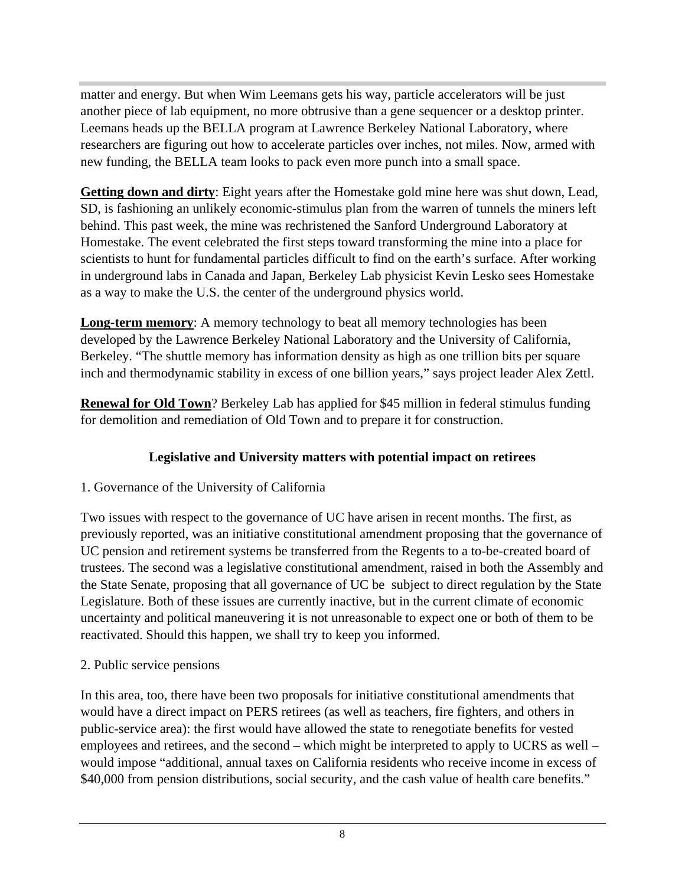matter and energy. But when Wim Leemans gets his way, particle accelerators will be just another piece of lab equipment, no more obtrusive than a gene sequencer or a desktop printer. Leemans heads up the BELLA program at Lawrence Berkeley National Laboratory, where researchers are figuring out how to accelerate particles over inches, not miles. Now, armed with new funding, the BELLA team looks to pack even more punch into a small space.

**Getting down and dirty**: Eight years after the Homestake gold mine here was shut down, Lead, SD, is fashioning an unlikely economic-stimulus plan from the warren of tunnels the miners left behind. This past week, the mine was rechristened the Sanford Underground Laboratory at Homestake. The event celebrated the first steps toward transforming the mine into a place for scientists to hunt for fundamental particles difficult to find on the earth's surface. After working in underground labs in Canada and Japan, Berkeley Lab physicist Kevin Lesko sees Homestake as a way to make the U.S. the center of the underground physics world.

**Long-term memory**: A memory technology to beat all memory technologies has been developed by the Lawrence Berkeley National Laboratory and the University of California, Berkeley. "The shuttle memory has information density as high as one trillion bits per square inch and thermodynamic stability in excess of one billion years," says project leader Alex Zettl.

**Renewal for Old Town**? Berkeley Lab has applied for \$45 million in federal stimulus funding for demolition and remediation of Old Town and to prepare it for construction.

# **Legislative and University matters with potential impact on retirees**

#### 1. Governance of the University of California

Two issues with respect to the governance of UC have arisen in recent months. The first, as previously reported, was an initiative constitutional amendment proposing that the governance of UC pension and retirement systems be transferred from the Regents to a to-be-created board of trustees. The second was a legislative constitutional amendment, raised in both the Assembly and the State Senate, proposing that all governance of UC be subject to direct regulation by the State Legislature. Both of these issues are currently inactive, but in the current climate of economic uncertainty and political maneuvering it is not unreasonable to expect one or both of them to be reactivated. Should this happen, we shall try to keep you informed.

#### 2. Public service pensions

In this area, too, there have been two proposals for initiative constitutional amendments that would have a direct impact on PERS retirees (as well as teachers, fire fighters, and others in public-service area): the first would have allowed the state to renegotiate benefits for vested employees and retirees, and the second – which might be interpreted to apply to UCRS as well – would impose "additional, annual taxes on California residents who receive income in excess of \$40,000 from pension distributions, social security, and the cash value of health care benefits."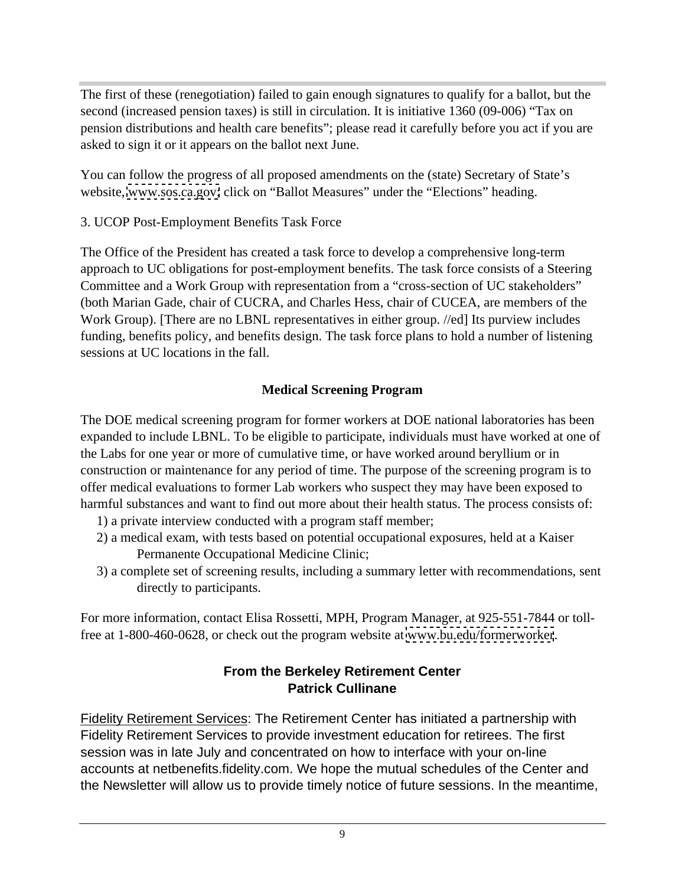The first of these (renegotiation) failed to gain enough signatures to qualify for a ballot, but the second (increased pension taxes) is still in circulation. It is initiative 1360 (09-006) "Tax on pension distributions and health care benefits"; please read it carefully before you act if you are asked to sign it or it appears on the ballot next June.

You can follow the progress of all proposed amendments on the (state) Secretary of State's website, [www.sos.ca.gov;](http://www.sos.ca.gov;) click on "Ballot Measures" under the "Elections" heading.

3. UCOP Post-Employment Benefits Task Force

The Office of the President has created a task force to develop a comprehensive long-term approach to UC obligations for post-employment benefits. The task force consists of a Steering Committee and a Work Group with representation from a "cross-section of UC stakeholders" (both Marian Gade, chair of CUCRA, and Charles Hess, chair of CUCEA, are members of the Work Group). [There are no LBNL representatives in either group. //ed] Its purview includes funding, benefits policy, and benefits design. The task force plans to hold a number of listening sessions at UC locations in the fall.

# **Medical Screening Program**

The DOE medical screening program for former workers at DOE national laboratories has been expanded to include LBNL. To be eligible to participate, individuals must have worked at one of the Labs for one year or more of cumulative time, or have worked around beryllium or in construction or maintenance for any period of time. The purpose of the screening program is to offer medical evaluations to former Lab workers who suspect they may have been exposed to harmful substances and want to find out more about their health status. The process consists of:

- 1) a private interview conducted with a program staff member;
- 2) a medical exam, with tests based on potential occupational exposures, held at a Kaiser Permanente Occupational Medicine Clinic;
- 3) a complete set of screening results, including a summary letter with recommendations, sent directly to participants.

For more information, contact Elisa Rossetti, MPH, Program Manager, at 925-551-7844 or tollfree at 1-800-460-0628, or check out the program website at [www.bu.edu/formerworker](http://www.bu.edu/formerworker).

# **From the Berkeley Retirement Center Patrick Cullinane**

Fidelity Retirement Services: The Retirement Center has initiated a partnership with Fidelity Retirement Services to provide investment education for retirees. The first session was in late July and concentrated on how to interface with your on-line accounts at netbenefits.fidelity.com. We hope the mutual schedules of the Center and the Newsletter will allow us to provide timely notice of future sessions. In the meantime,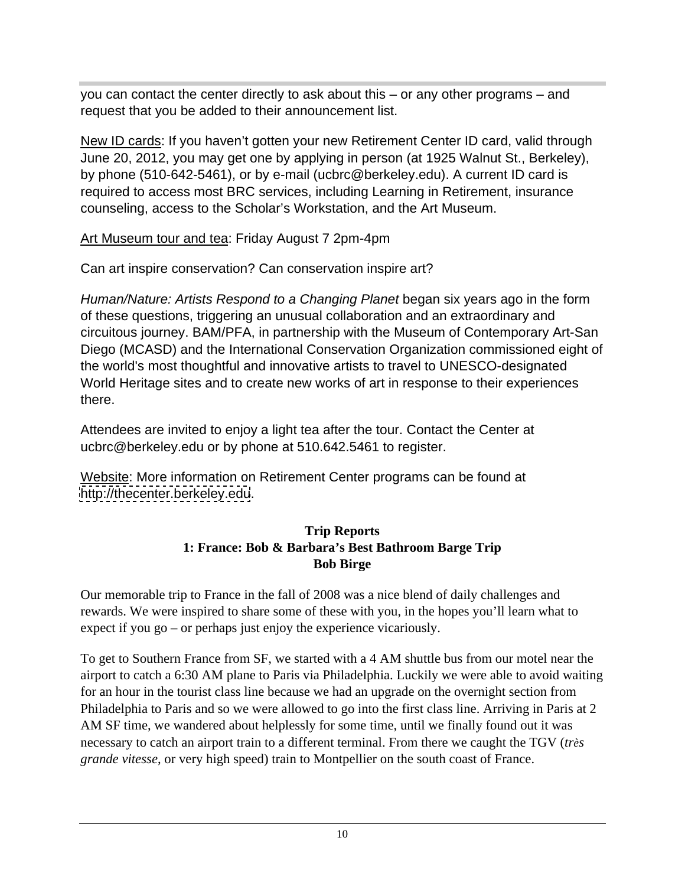you can contact the center directly to ask about this – or any other programs – and request that you be added to their announcement list.

New ID cards: If you haven't gotten your new Retirement Center ID card, valid through June 20, 2012, you may get one by applying in person (at 1925 Walnut St., Berkeley), by phone (510-642-5461), or by e-mail (ucbrc@berkeley.edu). A current ID card is required to access most BRC services, including Learning in Retirement, insurance counseling, access to the Scholar's Workstation, and the Art Museum.

Art Museum tour and tea: Friday August 7 2pm-4pm

Can art inspire conservation? Can conservation inspire art?

Human/Nature: Artists Respond to a Changing Planet began six years ago in the form of these questions, triggering an unusual collaboration and an extraordinary and circuitous journey. BAM/PFA, in partnership with the Museum of Contemporary Art-San Diego (MCASD) and the International Conservation Organization commissioned eight of the world's most thoughtful and innovative artists to travel to UNESCO-designated World Heritage sites and to create new works of art in response to their experiences there. The contract of the contract of the contract of the contract of the contract of the contract of the contract of the contract of the contract of the contract of the contract of the contract of the contract of the con

Attendees are invited to enjoy a light tea after the tour. Contact the Center at ucbrc@berkeley.edu or by phone at 510.642.5461 to register.

Website: More information on Retirement Center programs can be found at <http://thecenter.berkeley.edu>.

### **Trip Reports 1: France: Bob & Barbara's Best Bathroom Barge Trip Bob Birge**

Our memorable trip to France in the fall of 2008 was a nice blend of daily challenges and rewards. We were inspired to share some of these with you, in the hopes you'll learn what to expect if you go – or perhaps just enjoy the experience vicariously.

To get to Southern France from SF, we started with a 4 AM shuttle bus from our motel near the airport to catch a 6:30 AM plane to Paris via Philadelphia. Luckily we were able to avoid waiting for an hour in the tourist class line because we had an upgrade on the overnight section from Philadelphia to Paris and so we were allowed to go into the first class line. Arriving in Paris at 2 AM SF time, we wandered about helplessly for some time, until we finally found out it was necessary to catch an airport train to a different terminal. From there we caught the TGV (*très grande vitesse*, or very high speed) train to Montpellier on the south coast of France.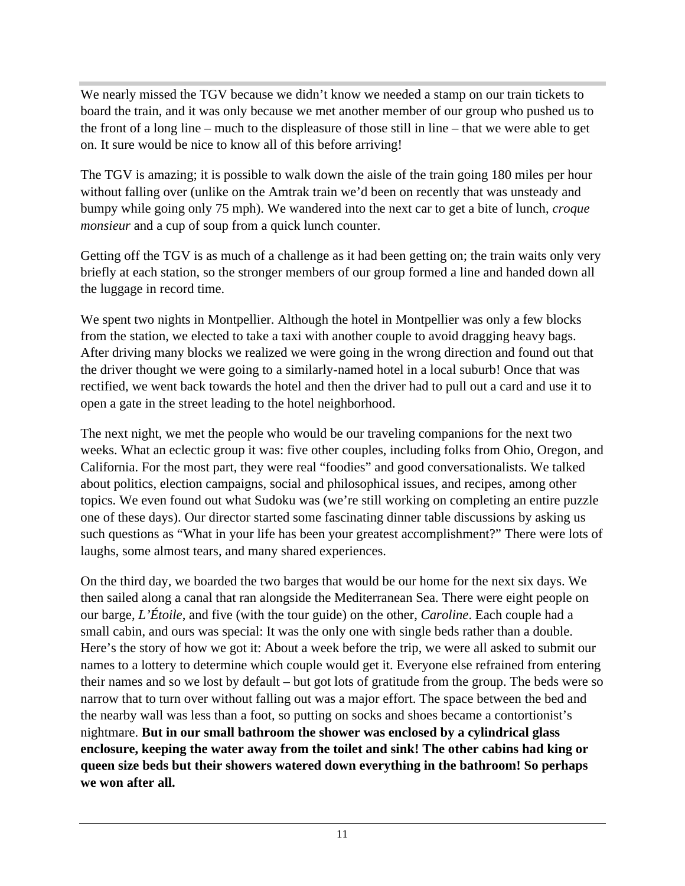We nearly missed the TGV because we didn't know we needed a stamp on our train tickets to board the train, and it was only because we met another member of our group who pushed us to the front of a long line – much to the displeasure of those still in line – that we were able to get on. It sure would be nice to know all of this before arriving!

The TGV is amazing; it is possible to walk down the aisle of the train going 180 miles per hour without falling over (unlike on the Amtrak train we'd been on recently that was unsteady and bumpy while going only 75 mph). We wandered into the next car to get a bite of lunch, *croque monsieur* and a cup of soup from a quick lunch counter.

Getting off the TGV is as much of a challenge as it had been getting on; the train waits only very briefly at each station, so the stronger members of our group formed a line and handed down all the luggage in record time.

We spent two nights in Montpellier. Although the hotel in Montpellier was only a few blocks from the station, we elected to take a taxi with another couple to avoid dragging heavy bags. After driving many blocks we realized we were going in the wrong direction and found out that the driver thought we were going to a similarly-named hotel in a local suburb! Once that was rectified, we went back towards the hotel and then the driver had to pull out a card and use it to open a gate in the street leading to the hotel neighborhood.

The next night, we met the people who would be our traveling companions for the next two weeks. What an eclectic group it was: five other couples, including folks from Ohio, Oregon, and California. For the most part, they were real "foodies" and good conversationalists. We talked about politics, election campaigns, social and philosophical issues, and recipes, among other topics. We even found out what Sudoku was (we're still working on completing an entire puzzle one of these days). Our director started some fascinating dinner table discussions by asking us such questions as "What in your life has been your greatest accomplishment?" There were lots of laughs, some almost tears, and many shared experiences.

On the third day, we boarded the two barges that would be our home for the next six days. We then sailed along a canal that ran alongside the Mediterranean Sea. There were eight people on our barge, *L'Étoile*, and five (with the tour guide) on the other, *Caroline*. Each couple had a small cabin, and ours was special: It was the only one with single beds rather than a double. Here's the story of how we got it: About a week before the trip, we were all asked to submit our names to a lottery to determine which couple would get it. Everyone else refrained from entering their names and so we lost by default – but got lots of gratitude from the group. The beds were so narrow that to turn over without falling out was a major effort. The space between the bed and the nearby wall was less than a foot, so putting on socks and shoes became a contortionist's nightmare. **But in our small bathroom the shower was enclosed by a cylindrical glass enclosure, keeping the water away from the toilet and sink! The other cabins had king or queen size beds but their showers watered down everything in the bathroom! So perhaps we won after all.**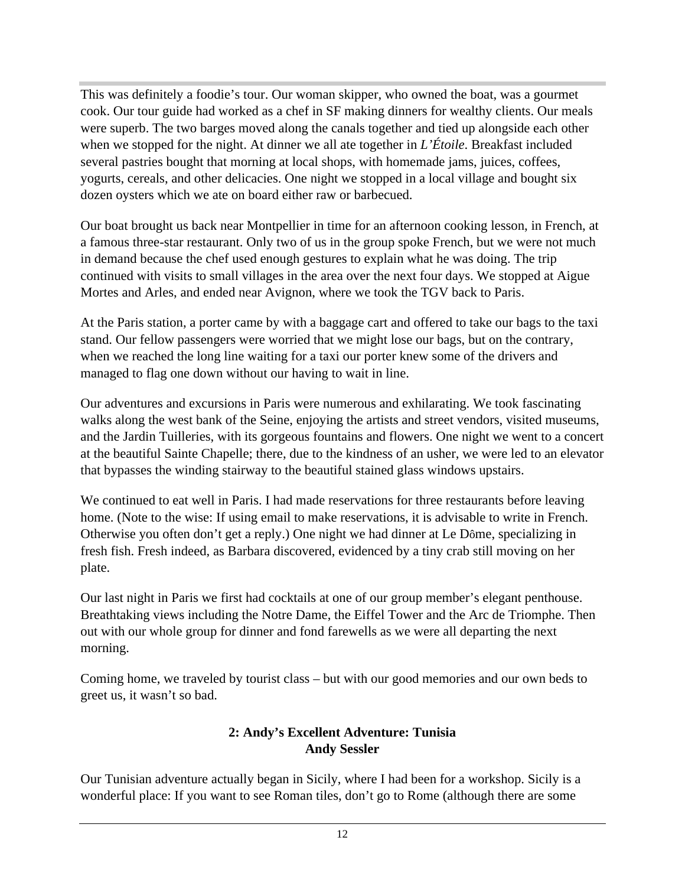This was definitely a foodie's tour. Our woman skipper, who owned the boat, was a gourmet cook. Our tour guide had worked as a chef in SF making dinners for wealthy clients. Our meals were superb. The two barges moved along the canals together and tied up alongside each other when we stopped for the night. At dinner we all ate together in *L'Étoile*. Breakfast included several pastries bought that morning at local shops, with homemade jams, juices, coffees, yogurts, cereals, and other delicacies. One night we stopped in a local village and bought six dozen oysters which we ate on board either raw or barbecued.

Our boat brought us back near Montpellier in time for an afternoon cooking lesson, in French, at a famous three-star restaurant. Only two of us in the group spoke French, but we were not much in demand because the chef used enough gestures to explain what he was doing. The trip continued with visits to small villages in the area over the next four days. We stopped at Aigue Mortes and Arles, and ended near Avignon, where we took the TGV back to Paris.

At the Paris station, a porter came by with a baggage cart and offered to take our bags to the taxi stand. Our fellow passengers were worried that we might lose our bags, but on the contrary, when we reached the long line waiting for a taxi our porter knew some of the drivers and managed to flag one down without our having to wait in line.

Our adventures and excursions in Paris were numerous and exhilarating. We took fascinating walks along the west bank of the Seine, enjoying the artists and street vendors, visited museums, and the Jardin Tuilleries, with its gorgeous fountains and flowers. One night we went to a concert at the beautiful Sainte Chapelle; there, due to the kindness of an usher, we were led to an elevator that bypasses the winding stairway to the beautiful stained glass windows upstairs.

We continued to eat well in Paris. I had made reservations for three restaurants before leaving home. (Note to the wise: If using email to make reservations, it is advisable to write in French. Otherwise you often don't get a reply.) One night we had dinner at Le Dôme, specializing in fresh fish. Fresh indeed, as Barbara discovered, evidenced by a tiny crab still moving on her plate.

Our last night in Paris we first had cocktails at one of our group member's elegant penthouse. Breathtaking views including the Notre Dame, the Eiffel Tower and the Arc de Triomphe. Then out with our whole group for dinner and fond farewells as we were all departing the next morning.

Coming home, we traveled by tourist class – but with our good memories and our own beds to greet us, it wasn't so bad.

# **2: Andy's Excellent Adventure: Tunisia Andy Sessler**

Our Tunisian adventure actually began in Sicily, where I had been for a workshop. Sicily is a wonderful place: If you want to see Roman tiles, don't go to Rome (although there are some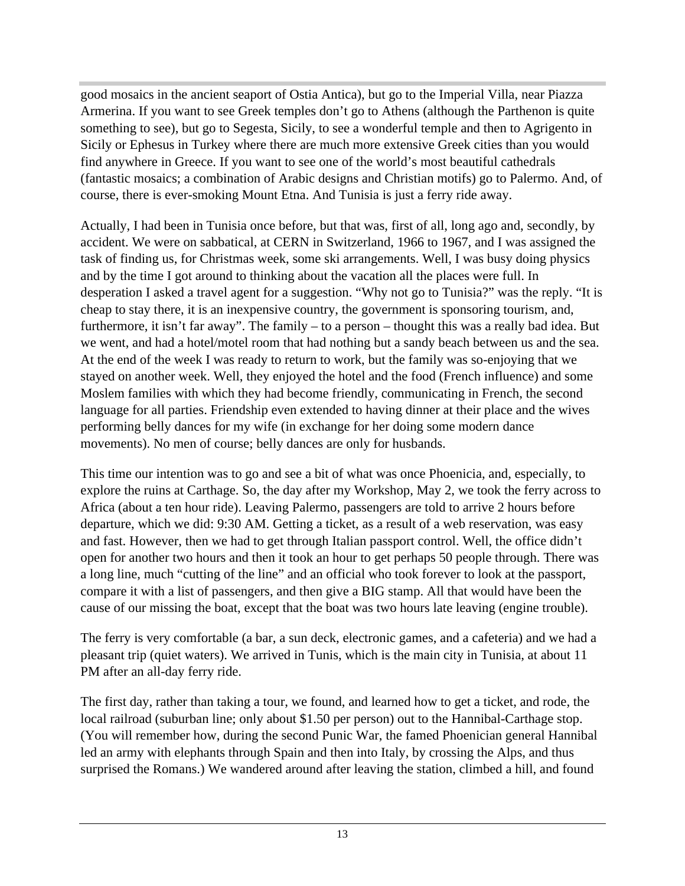good mosaics in the ancient seaport of Ostia Antica), but go to the Imperial Villa, near Piazza Armerina. If you want to see Greek temples don't go to Athens (although the Parthenon is quite something to see), but go to Segesta, Sicily, to see a wonderful temple and then to Agrigento in Sicily or Ephesus in Turkey where there are much more extensive Greek cities than you would find anywhere in Greece. If you want to see one of the world's most beautiful cathedrals (fantastic mosaics; a combination of Arabic designs and Christian motifs) go to Palermo. And, of course, there is ever-smoking Mount Etna. And Tunisia is just a ferry ride away.

Actually, I had been in Tunisia once before, but that was, first of all, long ago and, secondly, by accident. We were on sabbatical, at CERN in Switzerland, 1966 to 1967, and I was assigned the task of finding us, for Christmas week, some ski arrangements. Well, I was busy doing physics and by the time I got around to thinking about the vacation all the places were full. In desperation I asked a travel agent for a suggestion. "Why not go to Tunisia?" was the reply. "It is cheap to stay there, it is an inexpensive country, the government is sponsoring tourism, and, furthermore, it isn't far away". The family – to a person – thought this was a really bad idea. But we went, and had a hotel/motel room that had nothing but a sandy beach between us and the sea. At the end of the week I was ready to return to work, but the family was so-enjoying that we stayed on another week. Well, they enjoyed the hotel and the food (French influence) and some Moslem families with which they had become friendly, communicating in French, the second language for all parties. Friendship even extended to having dinner at their place and the wives performing belly dances for my wife (in exchange for her doing some modern dance movements). No men of course; belly dances are only for husbands.

This time our intention was to go and see a bit of what was once Phoenicia, and, especially, to explore the ruins at Carthage. So, the day after my Workshop, May 2, we took the ferry across to Africa (about a ten hour ride). Leaving Palermo, passengers are told to arrive 2 hours before departure, which we did: 9:30 AM. Getting a ticket, as a result of a web reservation, was easy and fast. However, then we had to get through Italian passport control. Well, the office didn't open for another two hours and then it took an hour to get perhaps 50 people through. There was a long line, much "cutting of the line" and an official who took forever to look at the passport, compare it with a list of passengers, and then give a BIG stamp. All that would have been the cause of our missing the boat, except that the boat was two hours late leaving (engine trouble).

The ferry is very comfortable (a bar, a sun deck, electronic games, and a cafeteria) and we had a pleasant trip (quiet waters). We arrived in Tunis, which is the main city in Tunisia, at about 11 PM after an all-day ferry ride.

The first day, rather than taking a tour, we found, and learned how to get a ticket, and rode, the local railroad (suburban line; only about \$1.50 per person) out to the Hannibal-Carthage stop. (You will remember how, during the second Punic War, the famed Phoenician general Hannibal led an army with elephants through Spain and then into Italy, by crossing the Alps, and thus surprised the Romans.) We wandered around after leaving the station, climbed a hill, and found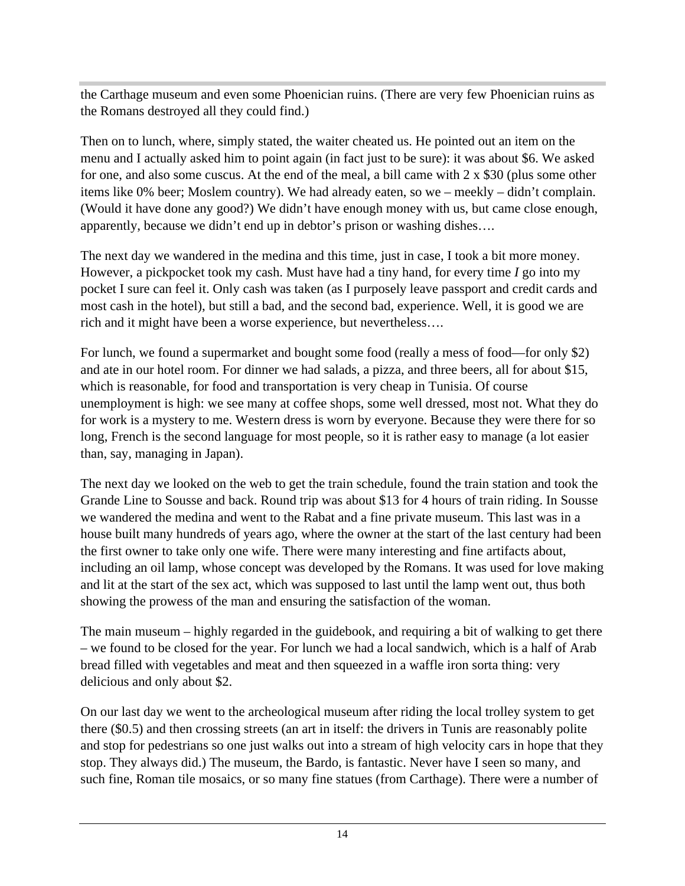the Carthage museum and even some Phoenician ruins. (There are very few Phoenician ruins as the Romans destroyed all they could find.)

Then on to lunch, where, simply stated, the waiter cheated us. He pointed out an item on the menu and I actually asked him to point again (in fact just to be sure): it was about \$6. We asked for one, and also some cuscus. At the end of the meal, a bill came with 2 x \$30 (plus some other items like 0% beer; Moslem country). We had already eaten, so we – meekly – didn't complain. (Would it have done any good?) We didn't have enough money with us, but came close enough, apparently, because we didn't end up in debtor's prison or washing dishes….

The next day we wandered in the medina and this time, just in case, I took a bit more money. However, a pickpocket took my cash. Must have had a tiny hand, for every time *I* go into my pocket I sure can feel it. Only cash was taken (as I purposely leave passport and credit cards and most cash in the hotel), but still a bad, and the second bad, experience. Well, it is good we are rich and it might have been a worse experience, but nevertheless….

For lunch, we found a supermarket and bought some food (really a mess of food—for only \$2) and ate in our hotel room. For dinner we had salads, a pizza, and three beers, all for about \$15, which is reasonable, for food and transportation is very cheap in Tunisia. Of course unemployment is high: we see many at coffee shops, some well dressed, most not. What they do for work is a mystery to me. Western dress is worn by everyone. Because they were there for so long, French is the second language for most people, so it is rather easy to manage (a lot easier than, say, managing in Japan).

The next day we looked on the web to get the train schedule, found the train station and took the Grande Line to Sousse and back. Round trip was about \$13 for 4 hours of train riding. In Sousse we wandered the medina and went to the Rabat and a fine private museum. This last was in a house built many hundreds of years ago, where the owner at the start of the last century had been the first owner to take only one wife. There were many interesting and fine artifacts about, including an oil lamp, whose concept was developed by the Romans. It was used for love making and lit at the start of the sex act, which was supposed to last until the lamp went out, thus both showing the prowess of the man and ensuring the satisfaction of the woman.

The main museum – highly regarded in the guidebook, and requiring a bit of walking to get there – we found to be closed for the year. For lunch we had a local sandwich, which is a half of Arab bread filled with vegetables and meat and then squeezed in a waffle iron sorta thing: very delicious and only about \$2.

On our last day we went to the archeological museum after riding the local trolley system to get there (\$0.5) and then crossing streets (an art in itself: the drivers in Tunis are reasonably polite and stop for pedestrians so one just walks out into a stream of high velocity cars in hope that they stop. They always did.) The museum, the Bardo, is fantastic. Never have I seen so many, and such fine, Roman tile mosaics, or so many fine statues (from Carthage). There were a number of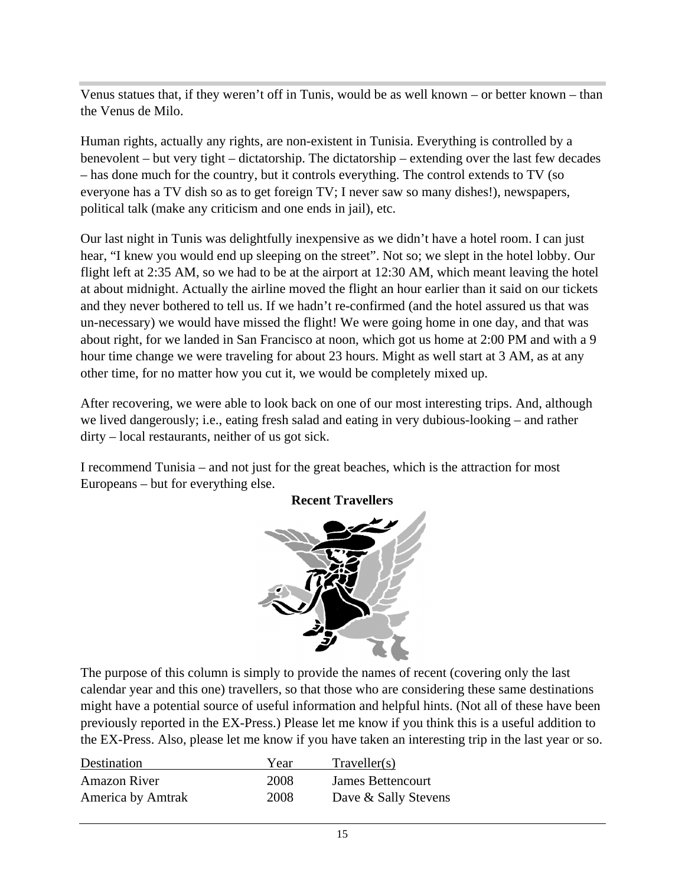Venus statues that, if they weren't off in Tunis, would be as well known – or better known – than the Venus de Milo.

Human rights, actually any rights, are non-existent in Tunisia. Everything is controlled by a benevolent – but very tight – dictatorship. The dictatorship – extending over the last few decades – has done much for the country, but it controls everything. The control extends to TV (so everyone has a TV dish so as to get foreign TV; I never saw so many dishes!), newspapers, political talk (make any criticism and one ends in jail), etc.

Our last night in Tunis was delightfully inexpensive as we didn't have a hotel room. I can just hear, "I knew you would end up sleeping on the street". Not so; we slept in the hotel lobby. Our flight left at 2:35 AM, so we had to be at the airport at 12:30 AM, which meant leaving the hotel at about midnight. Actually the airline moved the flight an hour earlier than it said on our tickets and they never bothered to tell us. If we hadn't re-confirmed (and the hotel assured us that was un-necessary) we would have missed the flight! We were going home in one day, and that was about right, for we landed in San Francisco at noon, which got us home at 2:00 PM and with a 9 hour time change we were traveling for about 23 hours. Might as well start at 3 AM, as at any other time, for no matter how you cut it, we would be completely mixed up.

After recovering, we were able to look back on one of our most interesting trips. And, although we lived dangerously; i.e., eating fresh salad and eating in very dubious-looking – and rather dirty – local restaurants, neither of us got sick.

I recommend Tunisia – and not just for the great beaches, which is the attraction for most Europeans – but for everything else.



**Recent Travellers**

The purpose of this column is simply to provide the names of recent (covering only the last calendar year and this one) travellers, so that those who are considering these same destinations might have a potential source of useful information and helpful hints. (Not all of these have been previously reported in the EX-Press.) Please let me know if you think this is a useful addition to the EX-Press. Also, please let me know if you have taken an interesting trip in the last year or so.

| Destination         | eal  | fraveller(s)         |
|---------------------|------|----------------------|
| <b>Amazon River</b> | 2008 | James Bettencourt    |
| America by Amtrak   | 2008 | Dave & Sally Stevens |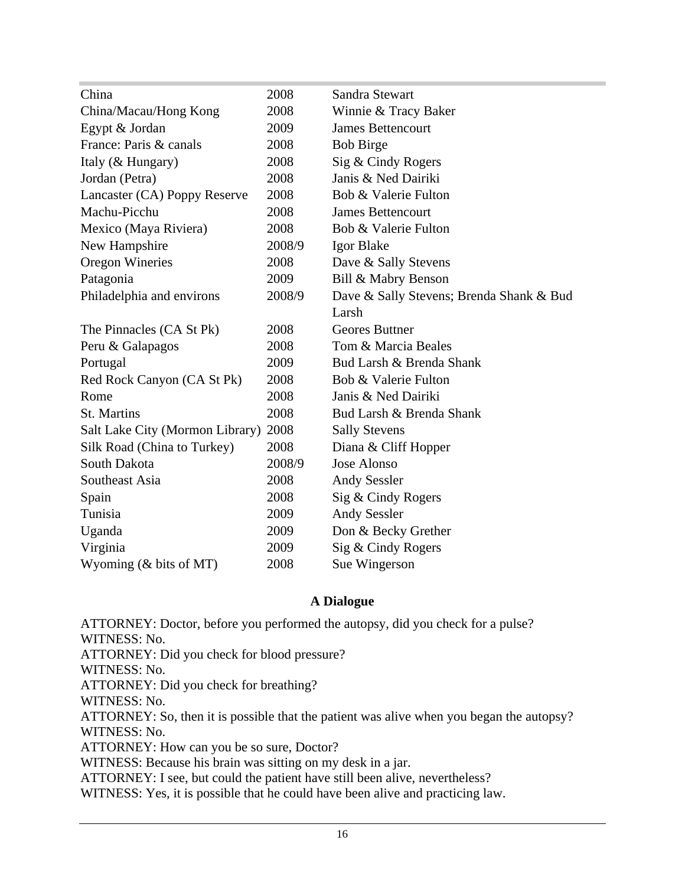| China                                | 2008   | Sandra Stewart                           |
|--------------------------------------|--------|------------------------------------------|
|                                      |        |                                          |
| China/Macau/Hong Kong                | 2008   | Winnie & Tracy Baker                     |
| Egypt & Jordan                       | 2009   | <b>James Bettencourt</b>                 |
| France: Paris & canals               | 2008   | <b>Bob Birge</b>                         |
| Italy (& Hungary)                    | 2008   | Sig & Cindy Rogers                       |
| Jordan (Petra)                       | 2008   | Janis & Ned Dairiki                      |
| Lancaster (CA) Poppy Reserve         | 2008   | Bob & Valerie Fulton                     |
| Machu-Picchu                         | 2008   | <b>James Bettencourt</b>                 |
| Mexico (Maya Riviera)                | 2008   | Bob & Valerie Fulton                     |
| New Hampshire                        | 2008/9 | Igor Blake                               |
| Oregon Wineries                      | 2008   | Dave & Sally Stevens                     |
| Patagonia                            | 2009   | Bill & Mabry Benson                      |
| Philadelphia and environs            | 2008/9 | Dave & Sally Stevens; Brenda Shank & Bud |
|                                      |        | Larsh                                    |
| The Pinnacles (CA St Pk)             | 2008   | Geores Buttner                           |
| Peru & Galapagos                     | 2008   | Tom & Marcia Beales                      |
| Portugal                             | 2009   | Bud Larsh & Brenda Shank                 |
| Red Rock Canyon (CA St Pk)           | 2008   | Bob & Valerie Fulton                     |
| Rome                                 | 2008   | Janis & Ned Dairiki                      |
| St. Martins                          | 2008   | Bud Larsh & Brenda Shank                 |
| Salt Lake City (Mormon Library) 2008 |        | <b>Sally Stevens</b>                     |
| Silk Road (China to Turkey)          | 2008   | Diana & Cliff Hopper                     |
| South Dakota                         | 2008/9 | Jose Alonso                              |
| Southeast Asia                       | 2008   | Andy Sessler                             |
| Spain                                | 2008   | Sig & Cindy Rogers                       |
| Tunisia                              | 2009   | <b>Andy Sessler</b>                      |
| Uganda                               | 2009   | Don & Becky Grether                      |
| Virginia                             | 2009   | Sig & Cindy Rogers                       |
| Wyoming (& bits of MT)               | 2008   | Sue Wingerson                            |

#### **A Dialogue**

ATTORNEY: Doctor, before you performed the autopsy, did you check for a pulse? WITNESS: No. ATTORNEY: Did you check for blood pressure? WITNESS: No. ATTORNEY: Did you check for breathing? WITNESS: No. ATTORNEY: So, then it is possible that the patient was alive when you began the autopsy? WITNESS: No. ATTORNEY: How can you be so sure, Doctor? WITNESS: Because his brain was sitting on my desk in a jar. ATTORNEY: I see, but could the patient have still been alive, nevertheless? WITNESS: Yes, it is possible that he could have been alive and practicing law.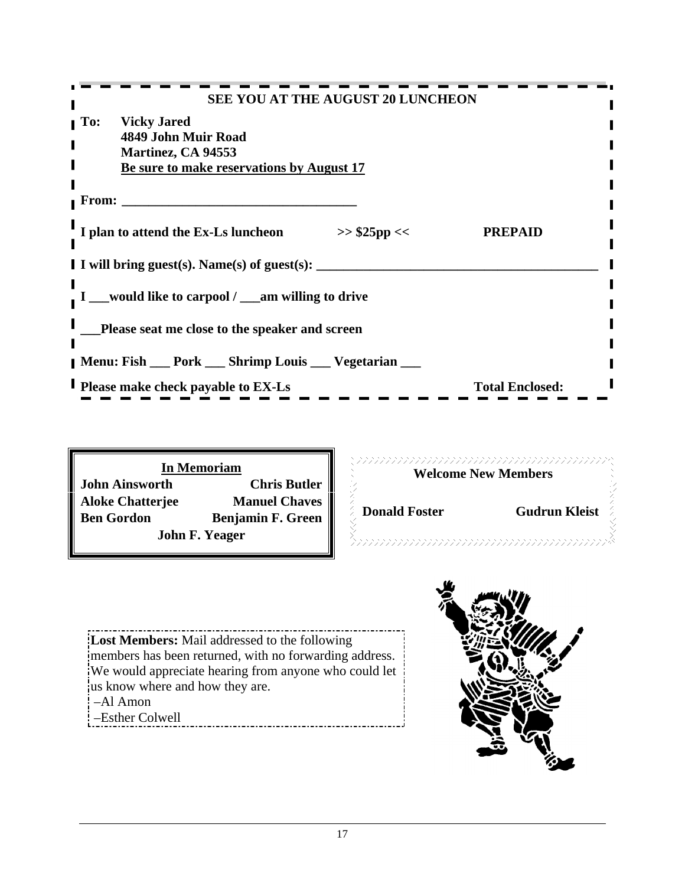| SEE YOU AT THE AUGUST 20 LUNCHEON                                                                                       |                        |  |
|-------------------------------------------------------------------------------------------------------------------------|------------------------|--|
| <b>To:</b> Vicky Jared<br>4849 John Muir Road<br><b>Martinez, CA 94553</b><br>Be sure to make reservations by August 17 |                        |  |
| From:                                                                                                                   |                        |  |
| I plan to attend the Ex-Ls luncheon<br>$>>$ \$25pp <<                                                                   | <b>PREPAID</b>         |  |
| I I will bring guest(s). Name(s) of guest(s):                                                                           |                        |  |
| would like to carpool / ___ am willing to drive                                                                         |                        |  |
| Please seat me close to the speaker and screen                                                                          |                        |  |
| Menu: Fish __ Pork __ Shrimp Louis __ Vegetarian __                                                                     |                        |  |
| <b>Please make check payable to EX-Ls</b>                                                                               | <b>Total Enclosed:</b> |  |

**In Memoriam Manufacture 1988** Manufacture 1988 Monday Manufacture 1989 **John Ainsworth Chris Butler**  $\|\cdot\|$ **Aloke Chatterjee Manuel Chaves Ben Gordon Benjamin F. Green**  $\| \left( \frac{1}{2} \right)$  **Domain Foster Bundary Guartin Kielst John F. Yeager**

**Welcome New Members**

**Donald Foster Gudrun Kleist Zum** 

**Lost Members:** Mail addressed to the following<br>imembers has been returned, with no forwarding address. We would appreciate hearing from anyone who could let us know where and how they are. –Al Amon

- –Esther Colwell
-